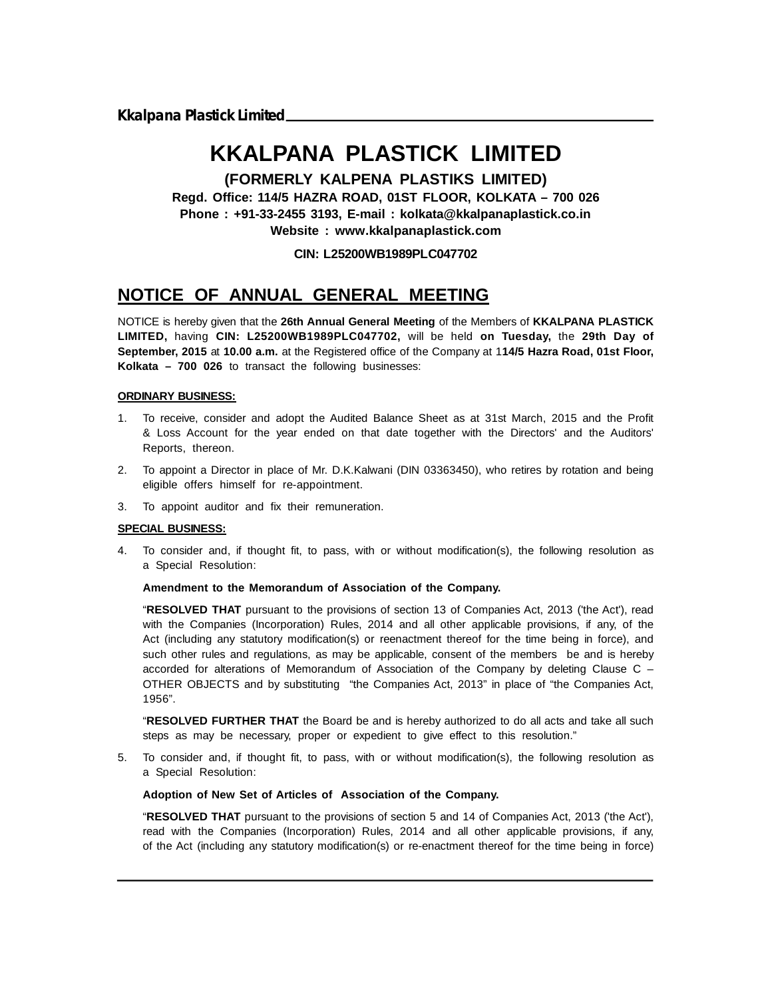# **KKALPANA PLASTICK LIMITED**

**(FORMERLY KALPENA PLASTIKS LIMITED)**

**Regd. Office: 114/5 HAZRA ROAD, 01ST FLOOR, KOLKATA – 700 026 Phone : +91-33-2455 3193, E-mail : kolkata@kkalpanaplastick.co.in Website : www.kkalpanaplastick.com**

#### **CIN: L25200WB1989PLC047702**

## **NOTICE OF ANNUAL GENERAL MEETING**

NOTICE is hereby given that the **26th Annual General Meeting** of the Members of **KKALPANA PLASTICK LIMITED,** having **CIN: L25200WB1989PLC047702,** will be held **on Tuesday,** the **29th Day of September, 2015** at **10.00 a.m.** at the Registered office of the Company at 1**14/5 Hazra Road, 01st Floor, Kolkata – 700 026** to transact the following businesses:

#### **ORDINARY BUSINESS:**

- 1. To receive, consider and adopt the Audited Balance Sheet as at 31st March, 2015 and the Profit & Loss Account for the year ended on that date together with the Directors' and the Auditors' Reports, thereon.
- 2. To appoint a Director in place of Mr. D.K.Kalwani (DIN 03363450), who retires by rotation and being eligible offers himself for re-appointment.
- 3. To appoint auditor and fix their remuneration.

#### **SPECIAL BUSINESS:**

4. To consider and, if thought fit, to pass, with or without modification(s), the following resolution as a Special Resolution:

#### **Amendment to the Memorandum of Association of the Company.**

"**RESOLVED THAT** pursuant to the provisions of section 13 of Companies Act, 2013 ('the Act'), read with the Companies (Incorporation) Rules, 2014 and all other applicable provisions, if any, of the Act (including any statutory modification(s) or reenactment thereof for the time being in force), and such other rules and regulations, as may be applicable, consent of the members be and is hereby accorded for alterations of Memorandum of Association of the Company by deleting Clause C – OTHER OBJECTS and by substituting "the Companies Act, 2013" in place of "the Companies Act, 1956".

"**RESOLVED FURTHER THAT** the Board be and is hereby authorized to do all acts and take all such steps as may be necessary, proper or expedient to give effect to this resolution."

5. To consider and, if thought fit, to pass, with or without modification(s), the following resolution as a Special Resolution:

#### **Adoption of New Set of Articles of Association of the Company.**

"**RESOLVED THAT** pursuant to the provisions of section 5 and 14 of Companies Act, 2013 ('the Act'), read with the Companies (Incorporation) Rules, 2014 and all other applicable provisions, if any, of the Act (including any statutory modification(s) or re-enactment thereof for the time being in force)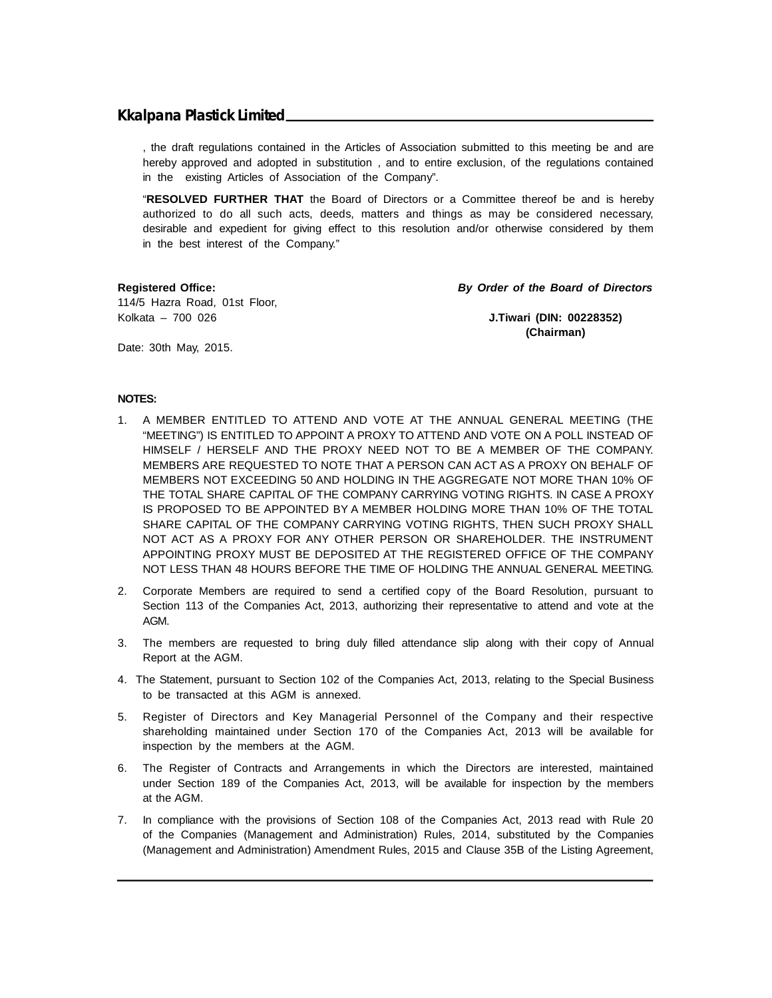, the draft regulations contained in the Articles of Association submitted to this meeting be and are hereby approved and adopted in substitution, and to entire exclusion, of the regulations contained in the existing Articles of Association of the Company".

"**RESOLVED FURTHER THAT** the Board of Directors or a Committee thereof be and is hereby authorized to do all such acts, deeds, matters and things as may be considered necessary, desirable and expedient for giving effect to this resolution and/or otherwise considered by them in the best interest of the Company."

114/5 Hazra Road, 01st Floor, Kolkata – 700 026 **J.Tiwari (DIN: 00228352)**

**Registered Office:** *By Order of the Board of Directors*

**(Chairman)**

Date: 30th May, 2015.

#### **NOTES:**

- 1. A MEMBER ENTITLED TO ATTEND AND VOTE AT THE ANNUAL GENERAL MEETING (THE "MEETING") IS ENTITLED TO APPOINT A PROXY TO ATTEND AND VOTE ON A POLL INSTEAD OF HIMSELF / HERSELF AND THE PROXY NEED NOT TO BE A MEMBER OF THE COMPANY. MEMBERS ARE REQUESTED TO NOTE THAT A PERSON CAN ACT AS A PROXY ON BEHALF OF MEMBERS NOT EXCEEDING 50 AND HOLDING IN THE AGGREGATE NOT MORE THAN 10% OF THE TOTAL SHARE CAPITAL OF THE COMPANY CARRYING VOTING RIGHTS. IN CASE A PROXY IS PROPOSED TO BE APPOINTED BY A MEMBER HOLDING MORE THAN 10% OF THE TOTAL SHARE CAPITAL OF THE COMPANY CARRYING VOTING RIGHTS, THEN SUCH PROXY SHALL NOT ACT AS A PROXY FOR ANY OTHER PERSON OR SHAREHOLDER. THE INSTRUMENT APPOINTING PROXY MUST BE DEPOSITED AT THE REGISTERED OFFICE OF THE COMPANY NOT LESS THAN 48 HOURS BEFORE THE TIME OF HOLDING THE ANNUAL GENERAL MEETING.
- 2. Corporate Members are required to send a certified copy of the Board Resolution, pursuant to Section 113 of the Companies Act, 2013, authorizing their representative to attend and vote at the AGM.
- 3. The members are requested to bring duly filled attendance slip along with their copy of Annual Report at the AGM.
- 4. The Statement, pursuant to Section 102 of the Companies Act, 2013, relating to the Special Business to be transacted at this AGM is annexed.
- 5. Register of Directors and Key Managerial Personnel of the Company and their respective shareholding maintained under Section 170 of the Companies Act, 2013 will be available for inspection by the members at the AGM.
- 6. The Register of Contracts and Arrangements in which the Directors are interested, maintained under Section 189 of the Companies Act, 2013, will be available for inspection by the members at the AGM.
- 7. In compliance with the provisions of Section 108 of the Companies Act, 2013 read with Rule 20 of the Companies (Management and Administration) Rules, 2014, substituted by the Companies (Management and Administration) Amendment Rules, 2015 and Clause 35B of the Listing Agreement,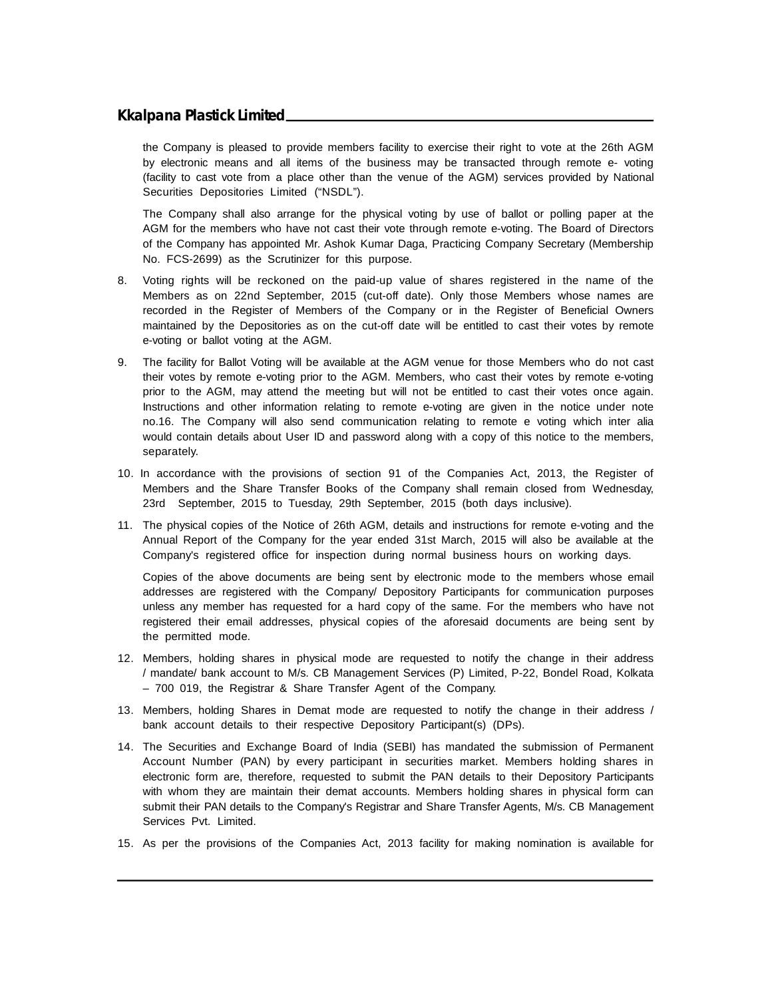the Company is pleased to provide members facility to exercise their right to vote at the 26th AGM by electronic means and all items of the business may be transacted through remote e- voting (facility to cast vote from a place other than the venue of the AGM) services provided by National Securities Depositories Limited ("NSDL").

The Company shall also arrange for the physical voting by use of ballot or polling paper at the AGM for the members who have not cast their vote through remote e-voting. The Board of Directors of the Company has appointed Mr. Ashok Kumar Daga, Practicing Company Secretary (Membership No. FCS-2699) as the Scrutinizer for this purpose.

- 8. Voting rights will be reckoned on the paid-up value of shares registered in the name of the Members as on 22nd September, 2015 (cut-off date). Only those Members whose names are recorded in the Register of Members of the Company or in the Register of Beneficial Owners maintained by the Depositories as on the cut-off date will be entitled to cast their votes by remote e-voting or ballot voting at the AGM.
- 9. The facility for Ballot Voting will be available at the AGM venue for those Members who do not cast their votes by remote e-voting prior to the AGM. Members, who cast their votes by remote e-voting prior to the AGM, may attend the meeting but will not be entitled to cast their votes once again. Instructions and other information relating to remote e-voting are given in the notice under note no.16. The Company will also send communication relating to remote e voting which inter alia would contain details about User ID and password along with a copy of this notice to the members, separately.
- 10. In accordance with the provisions of section 91 of the Companies Act, 2013, the Register of Members and the Share Transfer Books of the Company shall remain closed from Wednesday, 23rd September, 2015 to Tuesday, 29th September, 2015 (both days inclusive).
- 11. The physical copies of the Notice of 26th AGM, details and instructions for remote e-voting and the Annual Report of the Company for the year ended 31st March, 2015 will also be available at the Company's registered office for inspection during normal business hours on working days.

Copies of the above documents are being sent by electronic mode to the members whose email addresses are registered with the Company/ Depository Participants for communication purposes unless any member has requested for a hard copy of the same. For the members who have not registered their email addresses, physical copies of the aforesaid documents are being sent by the permitted mode.

- 12. Members, holding shares in physical mode are requested to notify the change in their address / mandate/ bank account to M/s. CB Management Services (P) Limited, P-22, Bondel Road, Kolkata – 700 019, the Registrar & Share Transfer Agent of the Company.
- 13. Members, holding Shares in Demat mode are requested to notify the change in their address / bank account details to their respective Depository Participant(s) (DPs).
- 14. The Securities and Exchange Board of India (SEBI) has mandated the submission of Permanent Account Number (PAN) by every participant in securities market. Members holding shares in electronic form are, therefore, requested to submit the PAN details to their Depository Participants with whom they are maintain their demat accounts. Members holding shares in physical form can submit their PAN details to the Company's Registrar and Share Transfer Agents, M/s. CB Management Services Pvt. Limited.
- 15. As per the provisions of the Companies Act, 2013 facility for making nomination is available for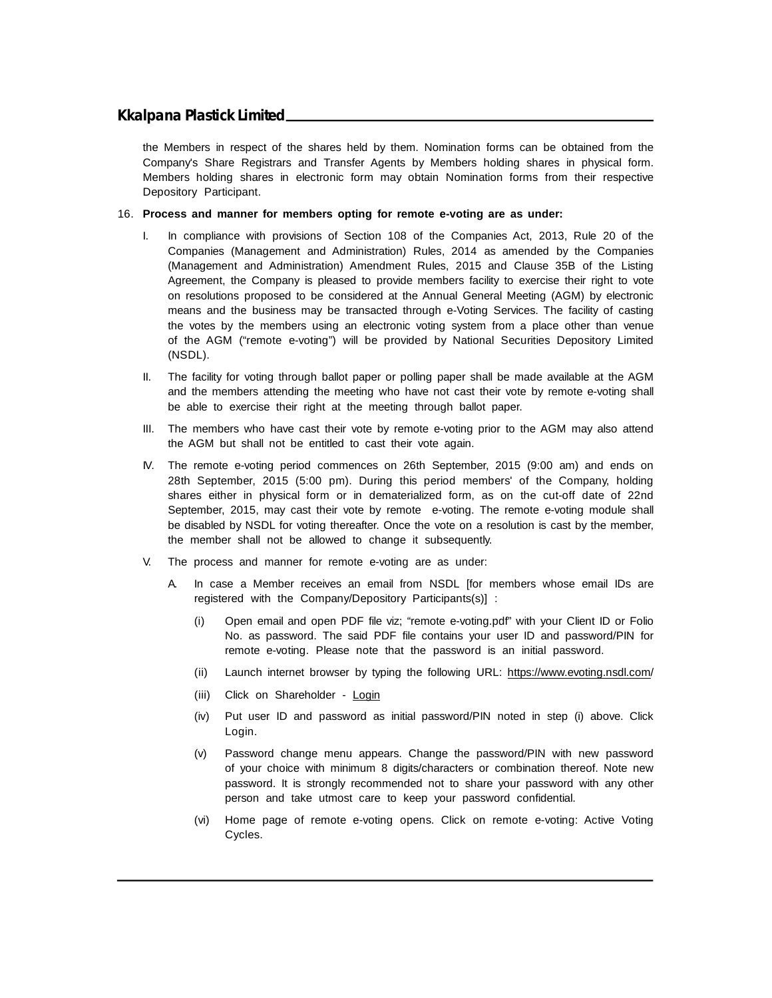the Members in respect of the shares held by them. Nomination forms can be obtained from the Company's Share Registrars and Transfer Agents by Members holding shares in physical form. Members holding shares in electronic form may obtain Nomination forms from their respective Depository Participant.

#### 16. **Process and manner for members opting for remote e-voting are as under:**

- In compliance with provisions of Section 108 of the Companies Act, 2013, Rule 20 of the Companies (Management and Administration) Rules, 2014 as amended by the Companies (Management and Administration) Amendment Rules, 2015 and Clause 35B of the Listing Agreement, the Company is pleased to provide members facility to exercise their right to vote on resolutions proposed to be considered at the Annual General Meeting (AGM) by electronic means and the business may be transacted through e-Voting Services. The facility of casting the votes by the members using an electronic voting system from a place other than venue of the AGM ("remote e-voting") will be provided by National Securities Depository Limited (NSDL).
- II. The facility for voting through ballot paper or polling paper shall be made available at the AGM and the members attending the meeting who have not cast their vote by remote e-voting shall be able to exercise their right at the meeting through ballot paper.
- III. The members who have cast their vote by remote e-voting prior to the AGM may also attend the AGM but shall not be entitled to cast their vote again.
- IV. The remote e-voting period commences on 26th September, 2015 (9:00 am) and ends on 28th September, 2015 (5:00 pm). During this period members' of the Company, holding shares either in physical form or in dematerialized form, as on the cut-off date of 22nd September, 2015, may cast their vote by remote e-voting. The remote e-voting module shall be disabled by NSDL for voting thereafter. Once the vote on a resolution is cast by the member, the member shall not be allowed to change it subsequently.
- V. The process and manner for remote e-voting are as under:
	- A. In case a Member receives an email from NSDL [for members whose email IDs are registered with the Company/Depository Participants(s)] :
		- (i) Open email and open PDF file viz; "remote e-voting.pdf" with your Client ID or Folio No. as password. The said PDF file contains your user ID and password/PIN for remote e-voting. Please note that the password is an initial password.
		- (ii) Launch internet browser by typing the following URL: https://www.evoting.nsdl.com/
		- (iii) Click on Shareholder Login
		- (iv) Put user ID and password as initial password/PIN noted in step (i) above. Click Login.
		- (v) Password change menu appears. Change the password/PIN with new password of your choice with minimum 8 digits/characters or combination thereof. Note new password. It is strongly recommended not to share your password with any other person and take utmost care to keep your password confidential.
		- (vi) Home page of remote e-voting opens. Click on remote e-voting: Active Voting Cycles.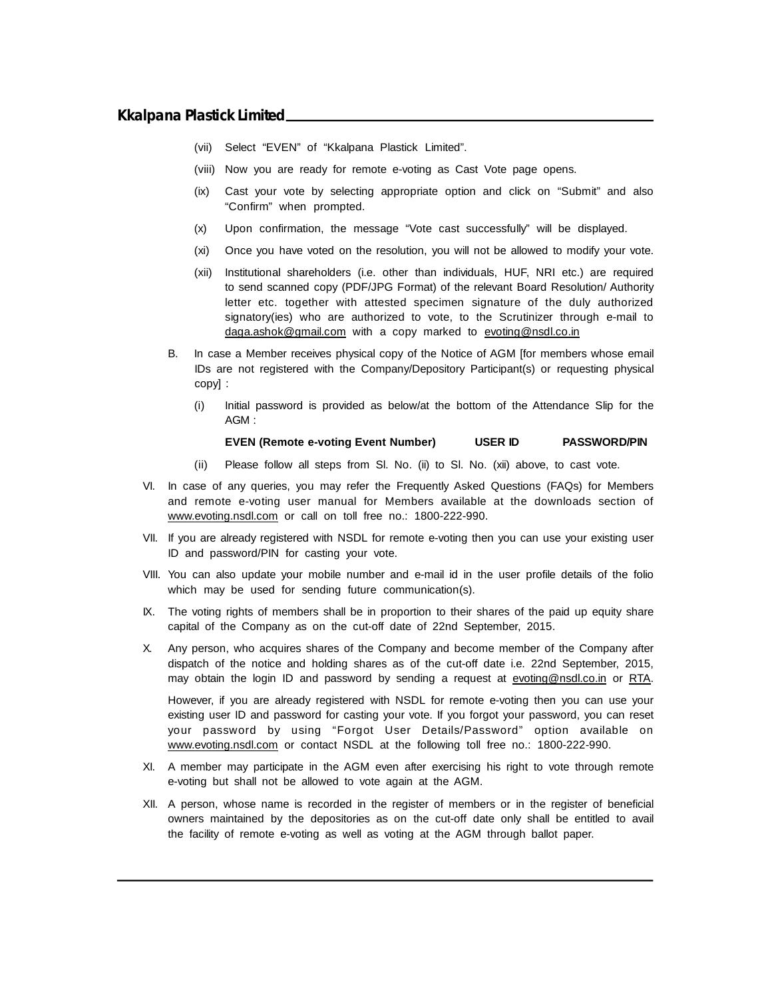- (vii) Select "EVEN" of "Kkalpana Plastick Limited".
- (viii) Now you are ready for remote e-voting as Cast Vote page opens.
- (ix) Cast your vote by selecting appropriate option and click on "Submit" and also "Confirm" when prompted.
- (x) Upon confirmation, the message "Vote cast successfully" will be displayed.
- (xi) Once you have voted on the resolution, you will not be allowed to modify your vote.
- (xii) Institutional shareholders (i.e. other than individuals, HUF, NRI etc.) are required to send scanned copy (PDF/JPG Format) of the relevant Board Resolution/ Authority letter etc. together with attested specimen signature of the duly authorized signatory(ies) who are authorized to vote, to the Scrutinizer through e-mail to daga.ashok@gmail.com with a copy marked to evoting@nsdl.co.in
- B. In case a Member receives physical copy of the Notice of AGM [for members whose email IDs are not registered with the Company/Depository Participant(s) or requesting physical copy] :
	- (i) Initial password is provided as below/at the bottom of the Attendance Slip for the AGM :

#### **EVEN (Remote e-voting Event Number) USER ID PASSWORD/PIN**

- (ii) Please follow all steps from Sl. No. (ii) to Sl. No. (xii) above, to cast vote.
- VI. In case of any queries, you may refer the Frequently Asked Questions (FAQs) for Members and remote e-voting user manual for Members available at the downloads section of www.evoting.nsdl.com or call on toll free no.: 1800-222-990.
- VII. If you are already registered with NSDL for remote e-voting then you can use your existing user ID and password/PIN for casting your vote.
- VIII. You can also update your mobile number and e-mail id in the user profile details of the folio which may be used for sending future communication(s).
- IX. The voting rights of members shall be in proportion to their shares of the paid up equity share capital of the Company as on the cut-off date of 22nd September, 2015.
- X. Any person, who acquires shares of the Company and become member of the Company after dispatch of the notice and holding shares as of the cut-off date i.e. 22nd September, 2015, may obtain the login ID and password by sending a request at evoting@nsdl.co.in or RTA.

However, if you are already registered with NSDL for remote e-voting then you can use your existing user ID and password for casting your vote. If you forgot your password, you can reset your password by using "Forgot User Details/Password" option available on www.evoting.nsdl.com or contact NSDL at the following toll free no.: 1800-222-990.

- XI. A member may participate in the AGM even after exercising his right to vote through remote e-voting but shall not be allowed to vote again at the AGM.
- XII. A person, whose name is recorded in the register of members or in the register of beneficial owners maintained by the depositories as on the cut-off date only shall be entitled to avail the facility of remote e-voting as well as voting at the AGM through ballot paper.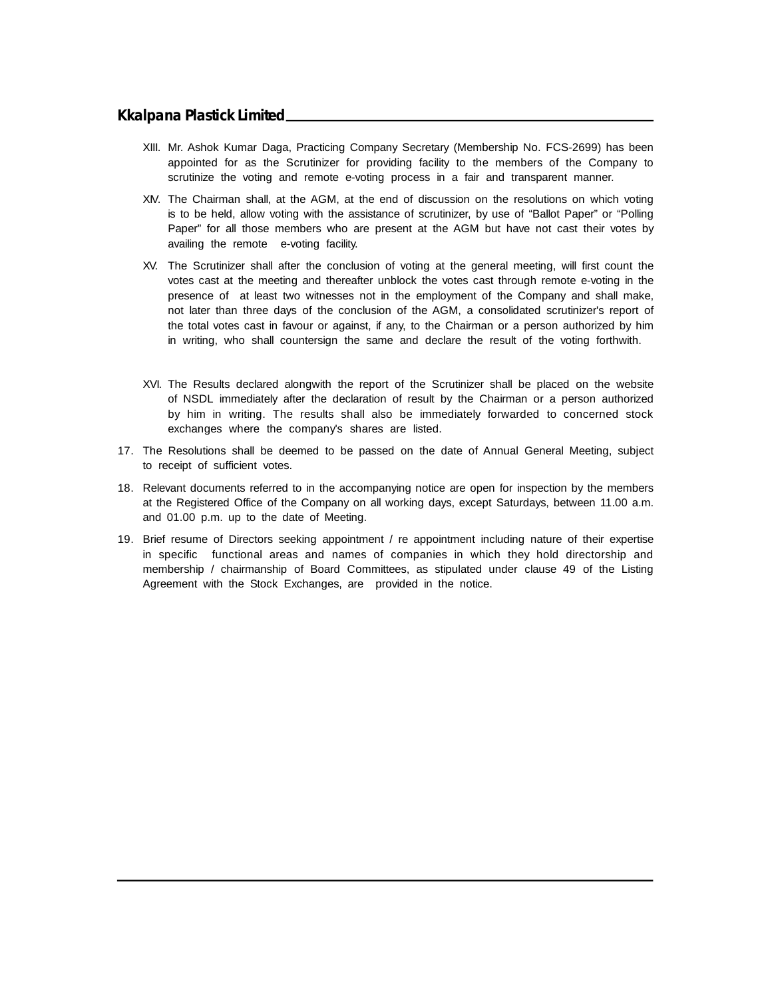- XIII. Mr. Ashok Kumar Daga, Practicing Company Secretary (Membership No. FCS-2699) has been appointed for as the Scrutinizer for providing facility to the members of the Company to scrutinize the voting and remote e-voting process in a fair and transparent manner.
- XIV. The Chairman shall, at the AGM, at the end of discussion on the resolutions on which voting is to be held, allow voting with the assistance of scrutinizer, by use of "Ballot Paper" or "Polling Paper" for all those members who are present at the AGM but have not cast their votes by availing the remote e-voting facility.
- XV. The Scrutinizer shall after the conclusion of voting at the general meeting, will first count the votes cast at the meeting and thereafter unblock the votes cast through remote e-voting in the presence of at least two witnesses not in the employment of the Company and shall make, not later than three days of the conclusion of the AGM, a consolidated scrutinizer's report of the total votes cast in favour or against, if any, to the Chairman or a person authorized by him in writing, who shall countersign the same and declare the result of the voting forthwith.
- XVI. The Results declared alongwith the report of the Scrutinizer shall be placed on the website of NSDL immediately after the declaration of result by the Chairman or a person authorized by him in writing. The results shall also be immediately forwarded to concerned stock exchanges where the company's shares are listed.
- 17. The Resolutions shall be deemed to be passed on the date of Annual General Meeting, subject to receipt of sufficient votes.
- 18. Relevant documents referred to in the accompanying notice are open for inspection by the members at the Registered Office of the Company on all working days, except Saturdays, between 11.00 a.m. and 01.00 p.m. up to the date of Meeting.
- 19. Brief resume of Directors seeking appointment / re appointment including nature of their expertise in specific functional areas and names of companies in which they hold directorship and membership / chairmanship of Board Committees, as stipulated under clause 49 of the Listing Agreement with the Stock Exchanges, are provided in the notice.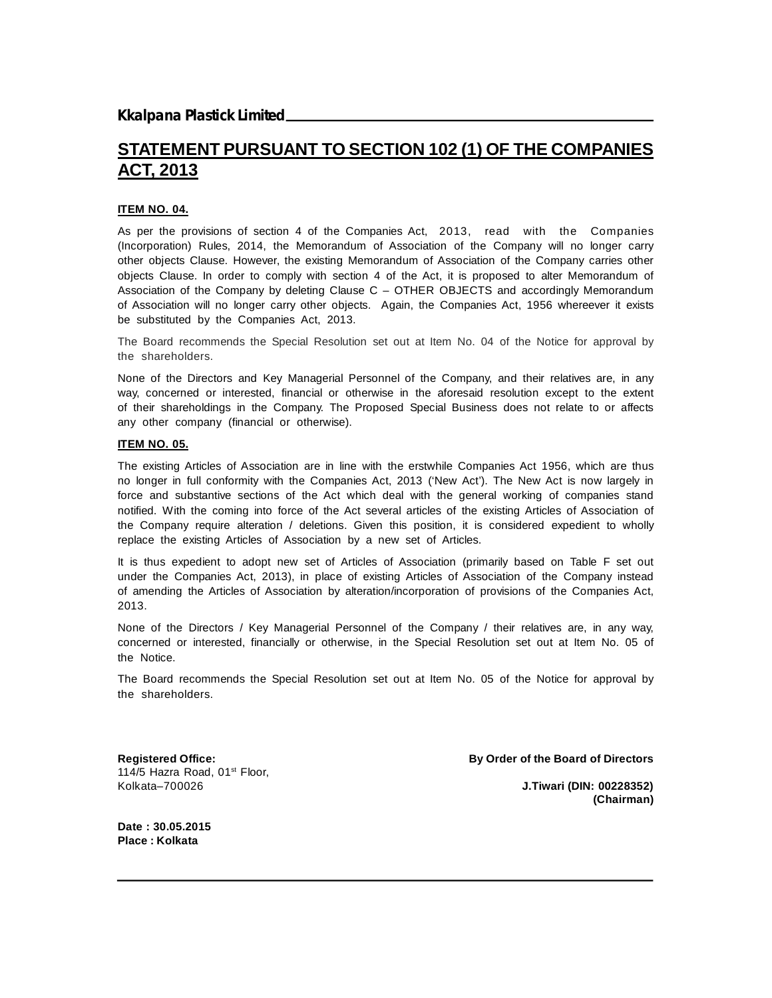# **STATEMENT PURSUANT TO SECTION 102 (1) OF THE COMPANIES ACT, 2013**

#### **ITEM NO. 04.**

As per the provisions of section 4 of the Companies Act, 2013, read with the Companies (Incorporation) Rules, 2014, the Memorandum of Association of the Company will no longer carry other objects Clause. However, the existing Memorandum of Association of the Company carries other objects Clause. In order to comply with section 4 of the Act, it is proposed to alter Memorandum of Association of the Company by deleting Clause C – OTHER OBJECTS and accordingly Memorandum of Association will no longer carry other objects. Again, the Companies Act, 1956 whereever it exists be substituted by the Companies Act, 2013.

The Board recommends the Special Resolution set out at Item No. 04 of the Notice for approval by the shareholders.

None of the Directors and Key Managerial Personnel of the Company, and their relatives are, in any way, concerned or interested, financial or otherwise in the aforesaid resolution except to the extent of their shareholdings in the Company. The Proposed Special Business does not relate to or affects any other company (financial or otherwise).

#### **ITEM NO. 05.**

The existing Articles of Association are in line with the erstwhile Companies Act 1956, which are thus no longer in full conformity with the Companies Act, 2013 ('New Act'). The New Act is now largely in force and substantive sections of the Act which deal with the general working of companies stand notified. With the coming into force of the Act several articles of the existing Articles of Association of the Company require alteration / deletions. Given this position, it is considered expedient to wholly replace the existing Articles of Association by a new set of Articles.

It is thus expedient to adopt new set of Articles of Association (primarily based on Table F set out under the Companies Act, 2013), in place of existing Articles of Association of the Company instead of amending the Articles of Association by alteration/incorporation of provisions of the Companies Act, 2013.

None of the Directors / Key Managerial Personnel of the Company / their relatives are, in any way, concerned or interested, financially or otherwise, in the Special Resolution set out at Item No. 05 of the Notice.

The Board recommends the Special Resolution set out at Item No. 05 of the Notice for approval by the shareholders.

114/5 Hazra Road, 01<sup>st</sup> Floor, Kolkata–700026 **J.Tiwari (DIN: 00228352)**

**Registered Office: By Order of the Board of Directors**

**(Chairman)**

**Date : 30.05.2015 Place : Kolkata**